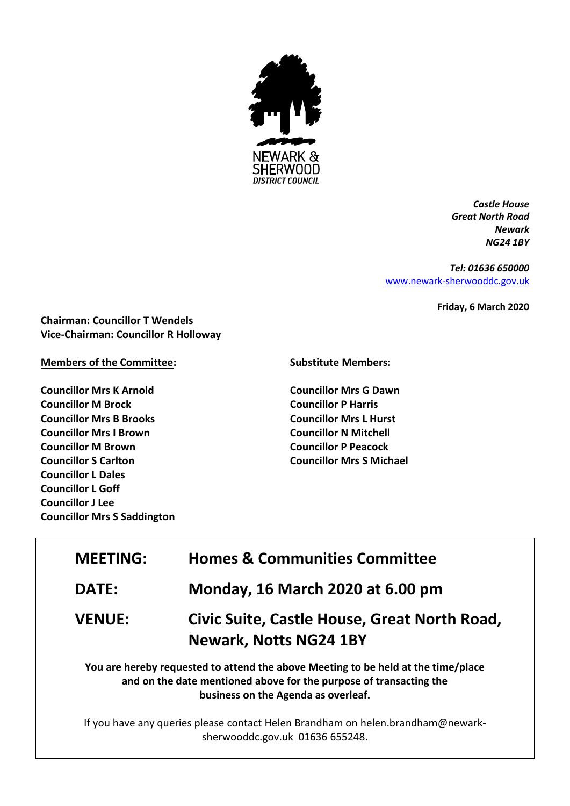

*Castle House Great North Road Newark NG24 1BY*

*Tel: 01636 650000* [www.newark-sherwooddc.gov.uk](http://www.newark-sherwooddc.gov.uk/)

**Friday, 6 March 2020**

**Chairman: Councillor T Wendels Vice-Chairman: Councillor R Holloway**

## **Members of the Committee:**

**Councillor Mrs K Arnold Councillor M Brock Councillor Mrs B Brooks Councillor Mrs I Brown Councillor M Brown Councillor S Carlton Councillor L Dales Councillor L Goff Councillor J Lee Councillor Mrs S Saddington**

## **Substitute Members:**

**Councillor Mrs G Dawn Councillor P Harris Councillor Mrs L Hurst Councillor N Mitchell Councillor P Peacock Councillor Mrs S Michael**

| <b>MEETING:</b> | <b>Homes &amp; Communities Committee</b>                                                                                                                |
|-----------------|---------------------------------------------------------------------------------------------------------------------------------------------------------|
| <b>DATE:</b>    | Monday, 16 March 2020 at 6.00 pm                                                                                                                        |
| <b>VENUE:</b>   | Civic Suite, Castle House, Great North Road,<br><b>Newark, Notts NG24 1BY</b>                                                                           |
|                 | You are hereby requested to attend the above Meeting to be held at the time/place<br>and on the date mentioned above for the purpose of transacting the |

**business on the Agenda as overleaf.**

If you have any queries please contact Helen Brandham on helen.brandham@newarksherwooddc.gov.uk 01636 655248.